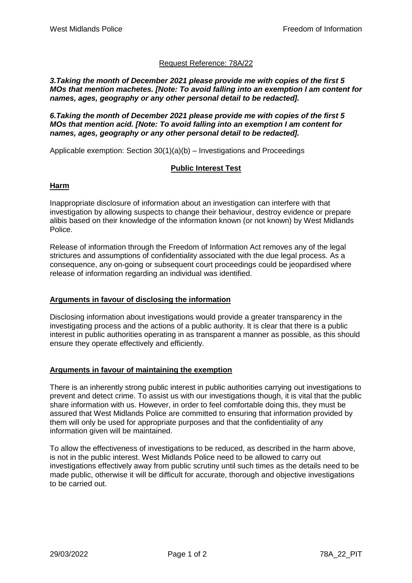# Request Reference: 78A/22

*3.Taking the month of December 2021 please provide me with copies of the first 5 MOs that mention machetes. [Note: To avoid falling into an exemption I am content for names, ages, geography or any other personal detail to be redacted].*

*6.Taking the month of December 2021 please provide me with copies of the first 5 MOs that mention acid. [Note: To avoid falling into an exemption I am content for names, ages, geography or any other personal detail to be redacted].*

Applicable exemption: Section 30(1)(a)(b) – Investigations and Proceedings

## **Public Interest Test**

#### **Harm**

Inappropriate disclosure of information about an investigation can interfere with that investigation by allowing suspects to change their behaviour, destroy evidence or prepare alibis based on their knowledge of the information known (or not known) by West Midlands Police.

Release of information through the Freedom of Information Act removes any of the legal strictures and assumptions of confidentiality associated with the due legal process. As a consequence, any on-going or subsequent court proceedings could be jeopardised where release of information regarding an individual was identified.

#### **Arguments in favour of disclosing the information**

Disclosing information about investigations would provide a greater transparency in the investigating process and the actions of a public authority. It is clear that there is a public interest in public authorities operating in as transparent a manner as possible, as this should ensure they operate effectively and efficiently.

#### **Arguments in favour of maintaining the exemption**

There is an inherently strong public interest in public authorities carrying out investigations to prevent and detect crime. To assist us with our investigations though, it is vital that the public share information with us. However, in order to feel comfortable doing this, they must be assured that West Midlands Police are committed to ensuring that information provided by them will only be used for appropriate purposes and that the confidentiality of any information given will be maintained.

To allow the effectiveness of investigations to be reduced, as described in the harm above, is not in the public interest. West Midlands Police need to be allowed to carry out investigations effectively away from public scrutiny until such times as the details need to be made public, otherwise it will be difficult for accurate, thorough and objective investigations to be carried out.